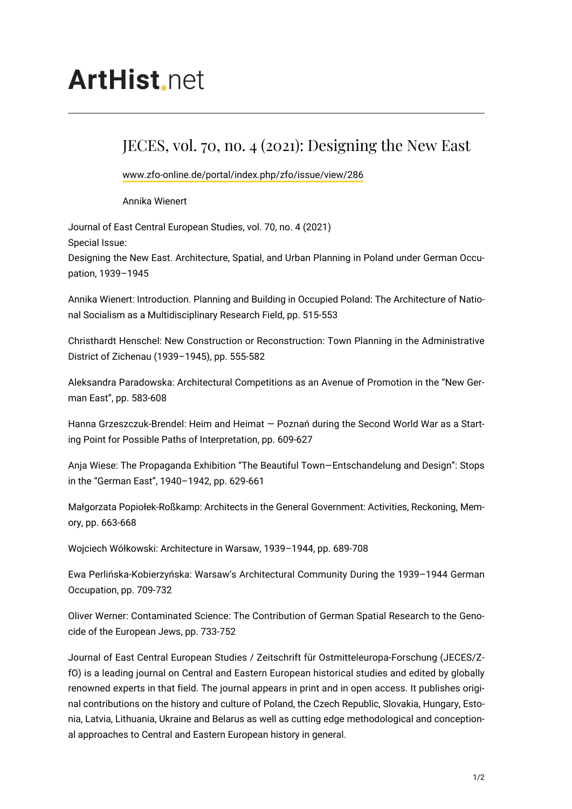## **ArtHist** net

## JECES, vol. 70, no. 4 (2021): Designing the New East

[www.zfo-online.de/portal/index.php/zfo/issue/view/286](https://www.zfo-online.de/portal/index.php/zfo/issue/view/286)

Annika Wienert

Journal of East Central European Studies, vol. 70, no. 4 (2021) Special Issue: Designing the New East. Architecture, Spatial, and Urban Planning in Poland under German Occupation, 1939–1945

Annika Wienert: Introduction. Planning and Building in Occupied Poland: The Architecture of National Socialism as a Multidisciplinary Research Field, pp. 515-553

Christhardt Henschel: New Construction or Reconstruction: Town Planning in the Administrative District of Zichenau (1939–1945), pp. 555-582

Aleksandra Paradowska: Architectural Competitions as an Avenue of Promotion in the "New German East", pp. 583-608

Hanna Grzeszczuk-Brendel: Heim and Heimat — Poznań during the Second World War as a Starting Point for Possible Paths of Interpretation, pp. 609-627

Anja Wiese: The Propaganda Exhibition "The Beautiful Town—Entschandelung and Design": Stops in the "German East", 1940–1942, pp. 629-661

Małgorzata Popiołek-Roßkamp: Architects in the General Government: Activities, Reckoning, Memory, pp. 663-668

Wojciech Wółkowski: Architecture in Warsaw, 1939–1944, pp. 689-708

Ewa Perlińska-Kobierzyńska: Warsaw's Architectural Community During the 1939–1944 German Occupation, pp. 709-732

Oliver Werner: Contaminated Science: The Contribution of German Spatial Research to the Genocide of the European Jews, pp. 733-752

Journal of East Central European Studies / Zeitschrift für Ostmitteleuropa-Forschung (JECES/ZfO) is a leading journal on Central and Eastern European historical studies and edited by globally renowned experts in that field. The journal appears in print and in open access. It publishes original contributions on the history and culture of Poland, the Czech Republic, Slovakia, Hungary, Estonia, Latvia, Lithuania, Ukraine and Belarus as well as cutting edge methodological and conceptional approaches to Central and Eastern European history in general.